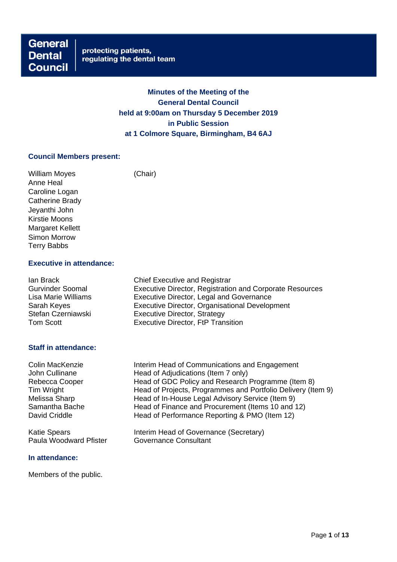**General Dental Council** 

# **Minutes of the Meeting of the General Dental Council held at 9:00am on Thursday 5 December 2019 in Public Session at 1 Colmore Square, Birmingham, B4 6AJ**

### **Council Members present:**

William Moyes (Chair) Anne Heal Caroline Logan Catherine Brady Jeyanthi John Kirstie Moons Margaret Kellett Simon Morrow Terry Babbs

# **Executive in attendance:**

| lan Brack               | <b>Chief Executive and Registrar</b>                     |  |  |
|-------------------------|----------------------------------------------------------|--|--|
| <b>Gurvinder Soomal</b> | Executive Director, Registration and Corporate Resources |  |  |
| Lisa Marie Williams     | <b>Executive Director, Legal and Governance</b>          |  |  |
| Sarah Keyes             | Executive Director, Organisational Development           |  |  |
| Stefan Czerniawski      | <b>Executive Director, Strategy</b>                      |  |  |
| Tom Scott               | <b>Executive Director, FtP Transition</b>                |  |  |
|                         |                                                          |  |  |

# **Staff in attendance:**

Colin MacKenzie Interim Head of Communications and Engagement John Cullinane **Head of Adjudications (Item 7 only)** Rebecca Cooper Head of GDC Policy and Research Programme (Item 8)<br>Tim Wright Head of Projects, Programmes and Portfolio Delivery (Ite Tim Wright **Head of Projects, Programmes and Portfolio Delivery (Item 9)**<br>Melissa Sharp Head of In-House Legal Advisory Service (Item 9) Head of In-House Legal Advisory Service (Item 9) Samantha Bache Head of Finance and Procurement (Items 10 and 12)<br>David Criddle Head of Performance Reporting & PMO (Item 12) Head of Performance Reporting & PMO (Item 12)

Katie Spears **Interim Head of Governance (Secretary)** Paula Woodward Pfister **Governance Consultant** 

#### **In attendance:**

Members of the public.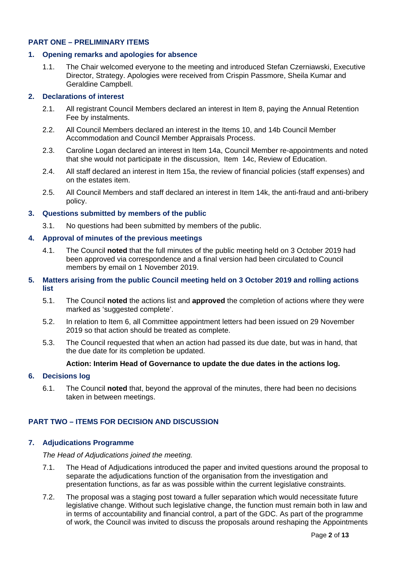# **PART ONE – PRELIMINARY ITEMS**

#### **1. Opening remarks and apologies for absence**

1.1. The Chair welcomed everyone to the meeting and introduced Stefan Czerniawski, Executive Director, Strategy. Apologies were received from Crispin Passmore, Sheila Kumar and Geraldine Campbell.

### **2. Declarations of interest**

- 2.1. All registrant Council Members declared an interest in Item 8, paying the Annual Retention Fee by instalments.
- 2.2. All Council Members declared an interest in the Items 10, and 14b Council Member Accommodation and Council Member Appraisals Process.
- 2.3. Caroline Logan declared an interest in Item 14a, Council Member re-appointments and noted that she would not participate in the discussion, Item 14c, Review of Education.
- 2.4. All staff declared an interest in Item 15a, the review of financial policies (staff expenses) and on the estates item.
- 2.5. All Council Members and staff declared an interest in Item 14k, the anti-fraud and anti-bribery policy.

### **3. Questions submitted by members of the public**

3.1. No questions had been submitted by members of the public.

### **4. Approval of minutes of the previous meetings**

4.1. The Council **noted** that the full minutes of the public meeting held on 3 October 2019 had been approved via correspondence and a final version had been circulated to Council members by email on 1 November 2019.

### **5. Matters arising from the public Council meeting held on 3 October 2019 and rolling actions list**

- 5.1. The Council **noted** the actions list and **approved** the completion of actions where they were marked as 'suggested complete'.
- 5.2. In relation to Item 6, all Committee appointment letters had been issued on 29 November 2019 so that action should be treated as complete.
- 5.3. The Council requested that when an action had passed its due date, but was in hand, that the due date for its completion be updated.

#### **Action: Interim Head of Governance to update the due dates in the actions log.**

#### **6. Decisions log**

6.1. The Council **noted** that, beyond the approval of the minutes, there had been no decisions taken in between meetings.

# **PART TWO – ITEMS FOR DECISION AND DISCUSSION**

#### **7. Adjudications Programme**

*The Head of Adjudications joined the meeting.*

- 7.1. The Head of Adjudications introduced the paper and invited questions around the proposal to separate the adjudications function of the organisation from the investigation and presentation functions, as far as was possible within the current legislative constraints.
- 7.2. The proposal was a staging post toward a fuller separation which would necessitate future legislative change. Without such legislative change, the function must remain both in law and in terms of accountability and financial control, a part of the GDC. As part of the programme of work, the Council was invited to discuss the proposals around reshaping the Appointments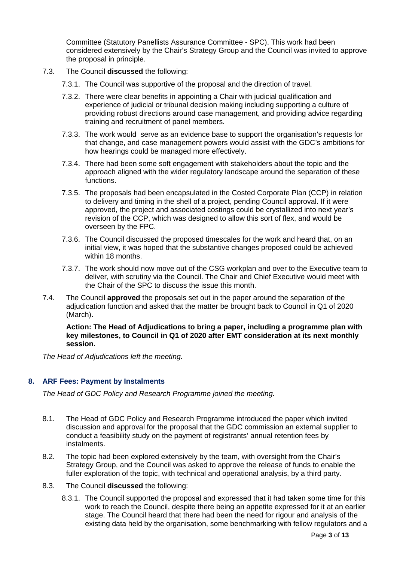Committee (Statutory Panellists Assurance Committee - SPC). This work had been considered extensively by the Chair's Strategy Group and the Council was invited to approve the proposal in principle.

- 7.3. The Council **discussed** the following:
	- 7.3.1. The Council was supportive of the proposal and the direction of travel.
	- 7.3.2. There were clear benefits in appointing a Chair with judicial qualification and experience of judicial or tribunal decision making including supporting a culture of providing robust directions around case management, and providing advice regarding training and recruitment of panel members.
	- 7.3.3. The work would serve as an evidence base to support the organisation's requests for that change, and case management powers would assist with the GDC's ambitions for how hearings could be managed more effectively.
	- 7.3.4. There had been some soft engagement with stakeholders about the topic and the approach aligned with the wider regulatory landscape around the separation of these functions.
	- 7.3.5. The proposals had been encapsulated in the Costed Corporate Plan (CCP) in relation to delivery and timing in the shell of a project, pending Council approval. If it were approved, the project and associated costings could be crystallized into next year's revision of the CCP, which was designed to allow this sort of flex, and would be overseen by the FPC.
	- 7.3.6. The Council discussed the proposed timescales for the work and heard that, on an initial view, it was hoped that the substantive changes proposed could be achieved within 18 months.
	- 7.3.7. The work should now move out of the CSG workplan and over to the Executive team to deliver, with scrutiny via the Council. The Chair and Chief Executive would meet with the Chair of the SPC to discuss the issue this month.
- 7.4. The Council **approved** the proposals set out in the paper around the separation of the adjudication function and asked that the matter be brought back to Council in Q1 of 2020 (March).

**Action: The Head of Adjudications to bring a paper, including a programme plan with key milestones, to Council in Q1 of 2020 after EMT consideration at its next monthly session.**

*The Head of Adjudications left the meeting.* 

# **8. ARF Fees: Payment by Instalments**

*The Head of GDC Policy and Research Programme joined the meeting.*

- 8.1. The Head of GDC Policy and Research Programme introduced the paper which invited discussion and approval for the proposal that the GDC commission an external supplier to conduct a feasibility study on the payment of registrants' annual retention fees by instalments.
- 8.2. The topic had been explored extensively by the team, with oversight from the Chair's Strategy Group, and the Council was asked to approve the release of funds to enable the fuller exploration of the topic, with technical and operational analysis, by a third party.
- 8.3. The Council **discussed** the following:
	- 8.3.1. The Council supported the proposal and expressed that it had taken some time for this work to reach the Council, despite there being an appetite expressed for it at an earlier stage. The Council heard that there had been the need for rigour and analysis of the existing data held by the organisation, some benchmarking with fellow regulators and a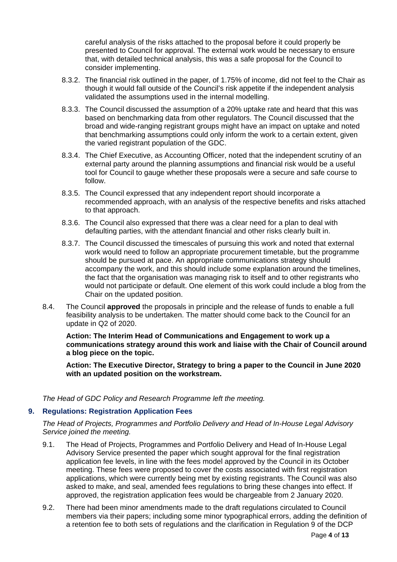careful analysis of the risks attached to the proposal before it could properly be presented to Council for approval. The external work would be necessary to ensure that, with detailed technical analysis, this was a safe proposal for the Council to consider implementing.

- 8.3.2. The financial risk outlined in the paper, of 1.75% of income, did not feel to the Chair as though it would fall outside of the Council's risk appetite if the independent analysis validated the assumptions used in the internal modelling.
- 8.3.3. The Council discussed the assumption of a 20% uptake rate and heard that this was based on benchmarking data from other regulators. The Council discussed that the broad and wide-ranging registrant groups might have an impact on uptake and noted that benchmarking assumptions could only inform the work to a certain extent, given the varied registrant population of the GDC.
- 8.3.4. The Chief Executive, as Accounting Officer, noted that the independent scrutiny of an external party around the planning assumptions and financial risk would be a useful tool for Council to gauge whether these proposals were a secure and safe course to follow.
- 8.3.5. The Council expressed that any independent report should incorporate a recommended approach, with an analysis of the respective benefits and risks attached to that approach.
- 8.3.6. The Council also expressed that there was a clear need for a plan to deal with defaulting parties, with the attendant financial and other risks clearly built in.
- 8.3.7. The Council discussed the timescales of pursuing this work and noted that external work would need to follow an appropriate procurement timetable, but the programme should be pursued at pace. An appropriate communications strategy should accompany the work, and this should include some explanation around the timelines, the fact that the organisation was managing risk to itself and to other registrants who would not participate or default. One element of this work could include a blog from the Chair on the updated position.
- 8.4. The Council **approved** the proposals in principle and the release of funds to enable a full feasibility analysis to be undertaken. The matter should come back to the Council for an update in Q2 of 2020.

**Action: The Interim Head of Communications and Engagement to work up a communications strategy around this work and liaise with the Chair of Council around a blog piece on the topic.** 

**Action: The Executive Director, Strategy to bring a paper to the Council in June 2020 with an updated position on the workstream.**

*The Head of GDC Policy and Research Programme left the meeting.* 

# **9. Regulations: Registration Application Fees**

*The Head of Projects, Programmes and Portfolio Delivery and Head of In-House Legal Advisory Service joined the meeting.*

- 9.1. The Head of Projects, Programmes and Portfolio Delivery and Head of In-House Legal Advisory Service presented the paper which sought approval for the final registration application fee levels, in line with the fees model approved by the Council in its October meeting. These fees were proposed to cover the costs associated with first registration applications, which were currently being met by existing registrants. The Council was also asked to make, and seal, amended fees regulations to bring these changes into effect. If approved, the registration application fees would be chargeable from 2 January 2020.
- 9.2. There had been minor amendments made to the draft regulations circulated to Council members via their papers; including some minor typographical errors, adding the definition of a retention fee to both sets of regulations and the clarification in Regulation 9 of the DCP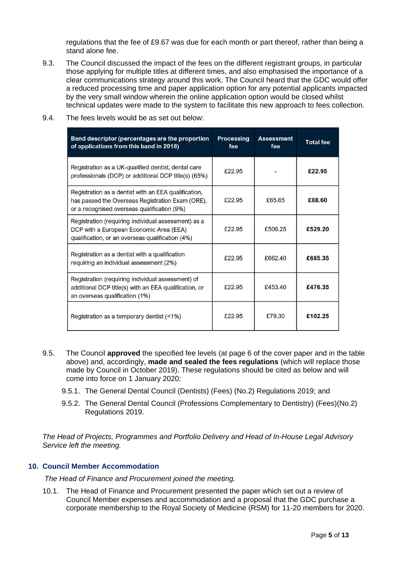regulations that the fee of £9.67 was due for each month or part thereof, rather than being a stand alone fee.

9.3. The Council discussed the impact of the fees on the different registrant groups, in particular those applying for multiple titles at different times, and also emphasised the importance of a clear communications strategy around this work. The Council heard that the GDC would offer a reduced processing time and paper application option for any potential applicants impacted by the very small window wherein the online application option would be closed whilst technical updates were made to the system to facilitate this new approach to fees collection.

| Band descriptor (percentages are the proportion<br>of applications from this band in 2018)                                                              | <b>Processing</b><br>fee | <b>Assessment</b><br>fee | <b>Total fee</b> |
|---------------------------------------------------------------------------------------------------------------------------------------------------------|--------------------------|--------------------------|------------------|
| Registration as a UK-qualified dentist, dental care<br>professionals (DCP) or additional DCP title(s) (65%)                                             | £22.95                   |                          | £22.95           |
| Registration as a dentist with an EEA qualification,<br>has passed the Overseas Registration Exam (ORE),<br>or a recognised overseas qualification (9%) | £22.95                   | £65.65                   | £88.60           |
| Registration (requiring individual assessment) as a<br>DCP with a European Economic Area (EEA)<br>qualification, or an overseas qualification (4%)      | £22.95                   | £506.25                  | £529.20          |
| Registration as a dentist with a qualification<br>requiring an individual assessment (2%)                                                               | £22.95                   | £662.40                  | £685.35          |
| Registration (requiring individual assessment) of<br>additional DCP title(s) with an EEA qualification, or<br>an overseas qualification (1%)            | £22.95                   | £453.40                  | £476.35          |
| Registration as a temporary dentist (<1%)                                                                                                               | £22.95                   | £79.30                   | £102.25          |

9.4. The fees levels would be as set out below:

- 9.5. The Council **approved** the specified fee levels (at page 6 of the cover paper and in the table above) and, accordingly, **made and sealed the fees regulations** (which will replace those made by Council in October 2019). These regulations should be cited as below and will come into force on 1 January 2020:
	- 9.5.1. The General Dental Council (Dentists) (Fees) (No.2) Regulations 2019; and
	- 9.5.2. The General Dental Council (Professions Complementary to Dentistry) (Fees)(No.2) Regulations 2019.

*The Head of Projects, Programmes and Portfolio Delivery and Head of In-House Legal Advisory Service left the meeting.*

# **10. Council Member Accommodation**

*The Head of Finance and Procurement joined the meeting.*

10.1. The Head of Finance and Procurement presented the paper which set out a review of Council Member expenses and accommodation and a proposal that the GDC purchase a corporate membership to the Royal Society of Medicine (RSM) for 11-20 members for 2020.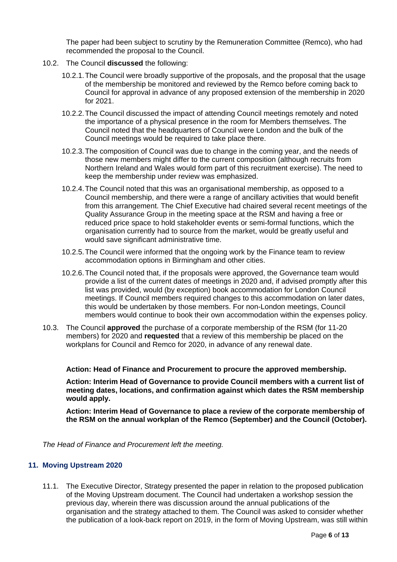The paper had been subject to scrutiny by the Remuneration Committee (Remco), who had recommended the proposal to the Council.

- 10.2. The Council **discussed** the following:
	- 10.2.1.The Council were broadly supportive of the proposals, and the proposal that the usage of the membership be monitored and reviewed by the Remco before coming back to Council for approval in advance of any proposed extension of the membership in 2020 for 2021.
	- 10.2.2.The Council discussed the impact of attending Council meetings remotely and noted the importance of a physical presence in the room for Members themselves. The Council noted that the headquarters of Council were London and the bulk of the Council meetings would be required to take place there.
	- 10.2.3.The composition of Council was due to change in the coming year, and the needs of those new members might differ to the current composition (although recruits from Northern Ireland and Wales would form part of this recruitment exercise). The need to keep the membership under review was emphasized.
	- 10.2.4.The Council noted that this was an organisational membership, as opposed to a Council membership, and there were a range of ancillary activities that would benefit from this arrangement. The Chief Executive had chaired several recent meetings of the Quality Assurance Group in the meeting space at the RSM and having a free or reduced price space to hold stakeholder events or semi-formal functions, which the organisation currently had to source from the market, would be greatly useful and would save significant administrative time.
	- 10.2.5.The Council were informed that the ongoing work by the Finance team to review accommodation options in Birmingham and other cities.
	- 10.2.6.The Council noted that, if the proposals were approved, the Governance team would provide a list of the current dates of meetings in 2020 and, if advised promptly after this list was provided, would (by exception) book accommodation for London Council meetings. If Council members required changes to this accommodation on later dates, this would be undertaken by those members. For non-London meetings, Council members would continue to book their own accommodation within the expenses policy.
- 10.3. The Council **approved** the purchase of a corporate membership of the RSM (for 11-20 members) for 2020 and **requested** that a review of this membership be placed on the workplans for Council and Remco for 2020, in advance of any renewal date.

**Action: Head of Finance and Procurement to procure the approved membership.**

**Action: Interim Head of Governance to provide Council members with a current list of meeting dates, locations, and confirmation against which dates the RSM membership would apply.** 

**Action: Interim Head of Governance to place a review of the corporate membership of the RSM on the annual workplan of the Remco (September) and the Council (October).**

*The Head of Finance and Procurement left the meeting.*

# **11. Moving Upstream 2020**

11.1. The Executive Director, Strategy presented the paper in relation to the proposed publication of the Moving Upstream document. The Council had undertaken a workshop session the previous day, wherein there was discussion around the annual publications of the organisation and the strategy attached to them. The Council was asked to consider whether the publication of a look-back report on 2019, in the form of Moving Upstream, was still within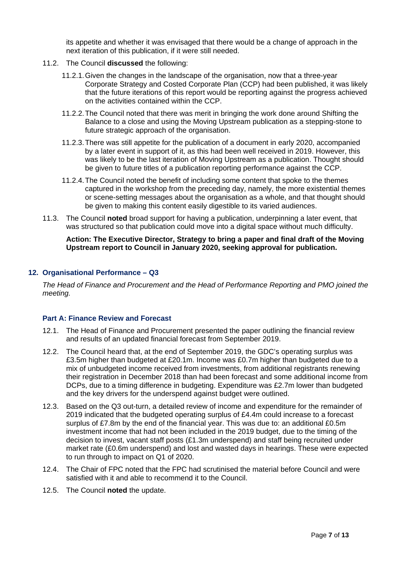its appetite and whether it was envisaged that there would be a change of approach in the next iteration of this publication, if it were still needed.

- 11.2. The Council **discussed** the following:
	- 11.2.1.Given the changes in the landscape of the organisation, now that a three-year Corporate Strategy and Costed Corporate Plan (CCP) had been published, it was likely that the future iterations of this report would be reporting against the progress achieved on the activities contained within the CCP.
	- 11.2.2.The Council noted that there was merit in bringing the work done around Shifting the Balance to a close and using the Moving Upstream publication as a stepping-stone to future strategic approach of the organisation.
	- 11.2.3.There was still appetite for the publication of a document in early 2020, accompanied by a later event in support of it, as this had been well received in 2019. However, this was likely to be the last iteration of Moving Upstream as a publication. Thought should be given to future titles of a publication reporting performance against the CCP.
	- 11.2.4.The Council noted the benefit of including some content that spoke to the themes captured in the workshop from the preceding day, namely, the more existential themes or scene-setting messages about the organisation as a whole, and that thought should be given to making this content easily digestible to its varied audiences.
- 11.3. The Council **noted** broad support for having a publication, underpinning a later event, that was structured so that publication could move into a digital space without much difficulty.

**Action: The Executive Director, Strategy to bring a paper and final draft of the Moving Upstream report to Council in January 2020, seeking approval for publication.** 

### **12. Organisational Performance – Q3**

*The Head of Finance and Procurement and the Head of Performance Reporting and PMO joined the meeting.*

#### **Part A: Finance Review and Forecast**

- 12.1. The Head of Finance and Procurement presented the paper outlining the financial review and results of an updated financial forecast from September 2019.
- 12.2. The Council heard that, at the end of September 2019, the GDC's operating surplus was £3.5m higher than budgeted at £20.1m. Income was £0.7m higher than budgeted due to a mix of unbudgeted income received from investments, from additional registrants renewing their registration in December 2018 than had been forecast and some additional income from DCPs, due to a timing difference in budgeting. Expenditure was £2.7m lower than budgeted and the key drivers for the underspend against budget were outlined.
- 12.3. Based on the Q3 out-turn, a detailed review of income and expenditure for the remainder of 2019 indicated that the budgeted operating surplus of £4.4m could increase to a forecast surplus of £7.8m by the end of the financial year. This was due to: an additional £0.5m investment income that had not been included in the 2019 budget, due to the timing of the decision to invest, vacant staff posts (£1.3m underspend) and staff being recruited under market rate (£0.6m underspend) and lost and wasted days in hearings. These were expected to run through to impact on Q1 of 2020.
- 12.4. The Chair of FPC noted that the FPC had scrutinised the material before Council and were satisfied with it and able to recommend it to the Council.
- 12.5. The Council **noted** the update.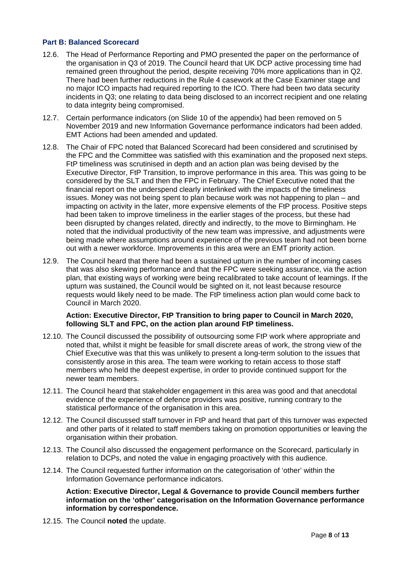# **Part B: Balanced Scorecard**

- 12.6. The Head of Performance Reporting and PMO presented the paper on the performance of the organisation in Q3 of 2019. The Council heard that UK DCP active processing time had remained green throughout the period, despite receiving 70% more applications than in Q2. There had been further reductions in the Rule 4 casework at the Case Examiner stage and no major ICO impacts had required reporting to the ICO. There had been two data security incidents in Q3; one relating to data being disclosed to an incorrect recipient and one relating to data integrity being compromised.
- 12.7. Certain performance indicators (on Slide 10 of the appendix) had been removed on 5 November 2019 and new Information Governance performance indicators had been added. EMT Actions had been amended and updated.
- 12.8. The Chair of FPC noted that Balanced Scorecard had been considered and scrutinised by the FPC and the Committee was satisfied with this examination and the proposed next steps. FtP timeliness was scrutinised in depth and an action plan was being devised by the Executive Director, FtP Transition, to improve performance in this area. This was going to be considered by the SLT and then the FPC in February. The Chief Executive noted that the financial report on the underspend clearly interlinked with the impacts of the timeliness issues. Money was not being spent to plan because work was not happening to plan – and impacting on activity in the later, more expensive elements of the FtP process. Positive steps had been taken to improve timeliness in the earlier stages of the process, but these had been disrupted by changes related, directly and indirectly, to the move to Birmingham. He noted that the individual productivity of the new team was impressive, and adjustments were being made where assumptions around experience of the previous team had not been borne out with a newer workforce. Improvements in this area were an EMT priority action.
- 12.9. The Council heard that there had been a sustained upturn in the number of incoming cases that was also skewing performance and that the FPC were seeking assurance, via the action plan, that existing ways of working were being recalibrated to take account of learnings. If the upturn was sustained, the Council would be sighted on it, not least because resource requests would likely need to be made. The FtP timeliness action plan would come back to Council in March 2020.

### **Action: Executive Director, FtP Transition to bring paper to Council in March 2020, following SLT and FPC, on the action plan around FtP timeliness.**

- 12.10. The Council discussed the possibility of outsourcing some FtP work where appropriate and noted that, whilst it might be feasible for small discrete areas of work, the strong view of the Chief Executive was that this was unlikely to present a long-term solution to the issues that consistently arose in this area. The team were working to retain access to those staff members who held the deepest expertise, in order to provide continued support for the newer team members.
- 12.11. The Council heard that stakeholder engagement in this area was good and that anecdotal evidence of the experience of defence providers was positive, running contrary to the statistical performance of the organisation in this area.
- 12.12. The Council discussed staff turnover in FtP and heard that part of this turnover was expected and other parts of it related to staff members taking on promotion opportunities or leaving the organisation within their probation.
- 12.13. The Council also discussed the engagement performance on the Scorecard, particularly in relation to DCPs, and noted the value in engaging proactively with this audience.
- 12.14. The Council requested further information on the categorisation of 'other' within the Information Governance performance indicators.

**Action: Executive Director, Legal & Governance to provide Council members further information on the 'other' categorisation on the Information Governance performance information by correspondence.** 

12.15. The Council **noted** the update.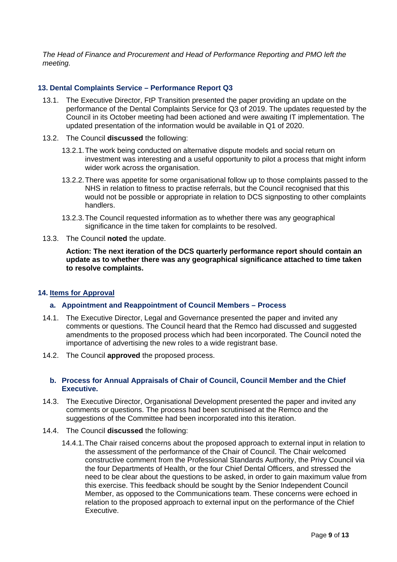*The Head of Finance and Procurement and Head of Performance Reporting and PMO left the meeting.*

# **13. Dental Complaints Service – Performance Report Q3**

- 13.1. The Executive Director, FtP Transition presented the paper providing an update on the performance of the Dental Complaints Service for Q3 of 2019. The updates requested by the Council in its October meeting had been actioned and were awaiting IT implementation. The updated presentation of the information would be available in Q1 of 2020.
- 13.2. The Council **discussed** the following:
	- 13.2.1.The work being conducted on alternative dispute models and social return on investment was interesting and a useful opportunity to pilot a process that might inform wider work across the organisation.
	- 13.2.2.There was appetite for some organisational follow up to those complaints passed to the NHS in relation to fitness to practise referrals, but the Council recognised that this would not be possible or appropriate in relation to DCS signposting to other complaints handlers.
	- 13.2.3.The Council requested information as to whether there was any geographical significance in the time taken for complaints to be resolved.
- 13.3. The Council **noted** the update.

**Action: The next iteration of the DCS quarterly performance report should contain an update as to whether there was any geographical significance attached to time taken to resolve complaints.** 

# **14. Items for Approval**

# **a. Appointment and Reappointment of Council Members – Process**

- 14.1. The Executive Director, Legal and Governance presented the paper and invited any comments or questions. The Council heard that the Remco had discussed and suggested amendments to the proposed process which had been incorporated. The Council noted the importance of advertising the new roles to a wide registrant base.
- 14.2. The Council **approved** the proposed process.

### **b. Process for Annual Appraisals of Chair of Council, Council Member and the Chief Executive.**

- 14.3. The Executive Director, Organisational Development presented the paper and invited any comments or questions. The process had been scrutinised at the Remco and the suggestions of the Committee had been incorporated into this iteration.
- 14.4. The Council **discussed** the following:
	- 14.4.1.The Chair raised concerns about the proposed approach to external input in relation to the assessment of the performance of the Chair of Council. The Chair welcomed constructive comment from the Professional Standards Authority, the Privy Council via the four Departments of Health, or the four Chief Dental Officers, and stressed the need to be clear about the questions to be asked, in order to gain maximum value from this exercise. This feedback should be sought by the Senior Independent Council Member, as opposed to the Communications team. These concerns were echoed in relation to the proposed approach to external input on the performance of the Chief Executive.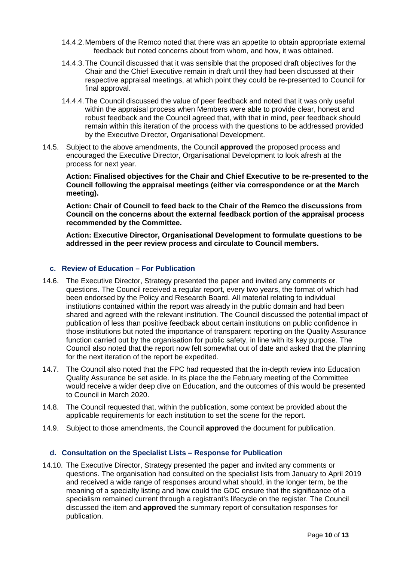- 14.4.2.Members of the Remco noted that there was an appetite to obtain appropriate external feedback but noted concerns about from whom, and how, it was obtained.
- 14.4.3.The Council discussed that it was sensible that the proposed draft objectives for the Chair and the Chief Executive remain in draft until they had been discussed at their respective appraisal meetings, at which point they could be re-presented to Council for final approval.
- 14.4.4.The Council discussed the value of peer feedback and noted that it was only useful within the appraisal process when Members were able to provide clear, honest and robust feedback and the Council agreed that, with that in mind, peer feedback should remain within this iteration of the process with the questions to be addressed provided by the Executive Director, Organisational Development.
- 14.5. Subject to the above amendments, the Council **approved** the proposed process and encouraged the Executive Director, Organisational Development to look afresh at the process for next year.

**Action: Finalised objectives for the Chair and Chief Executive to be re-presented to the Council following the appraisal meetings (either via correspondence or at the March meeting).**

**Action: Chair of Council to feed back to the Chair of the Remco the discussions from Council on the concerns about the external feedback portion of the appraisal process recommended by the Committee.** 

**Action: Executive Director, Organisational Development to formulate questions to be addressed in the peer review process and circulate to Council members.** 

# **c. Review of Education – For Publication**

- 14.6. The Executive Director, Strategy presented the paper and invited any comments or questions. The Council received a regular report, every two years, the format of which had been endorsed by the Policy and Research Board. All material relating to individual institutions contained within the report was already in the public domain and had been shared and agreed with the relevant institution. The Council discussed the potential impact of publication of less than positive feedback about certain institutions on public confidence in those institutions but noted the importance of transparent reporting on the Quality Assurance function carried out by the organisation for public safety, in line with its key purpose. The Council also noted that the report now felt somewhat out of date and asked that the planning for the next iteration of the report be expedited.
- 14.7. The Council also noted that the FPC had requested that the in-depth review into Education Quality Assurance be set aside. In its place the the February meeting of the Committee would receive a wider deep dive on Education, and the outcomes of this would be presented to Council in March 2020.
- 14.8. The Council requested that, within the publication, some context be provided about the applicable requirements for each institution to set the scene for the report.
- 14.9. Subject to those amendments, the Council **approved** the document for publication.

# **d. Consultation on the Specialist Lists – Response for Publication**

14.10. The Executive Director, Strategy presented the paper and invited any comments or questions. The organisation had consulted on the specialist lists from January to April 2019 and received a wide range of responses around what should, in the longer term, be the meaning of a specialty listing and how could the GDC ensure that the significance of a specialism remained current through a registrant's lifecycle on the register. The Council discussed the item and **approved** the summary report of consultation responses for publication.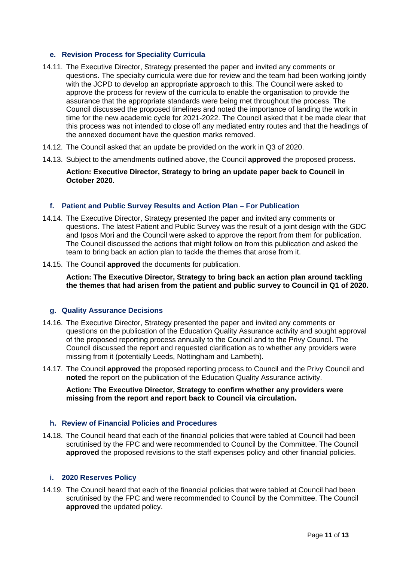# **e. Revision Process for Speciality Curricula**

- 14.11. The Executive Director, Strategy presented the paper and invited any comments or questions. The specialty curricula were due for review and the team had been working jointly with the JCPD to develop an appropriate approach to this. The Council were asked to approve the process for review of the curricula to enable the organisation to provide the assurance that the appropriate standards were being met throughout the process. The Council discussed the proposed timelines and noted the importance of landing the work in time for the new academic cycle for 2021-2022. The Council asked that it be made clear that this process was not intended to close off any mediated entry routes and that the headings of the annexed document have the question marks removed.
- 14.12. The Council asked that an update be provided on the work in Q3 of 2020.
- 14.13. Subject to the amendments outlined above, the Council **approved** the proposed process.

### **Action: Executive Director, Strategy to bring an update paper back to Council in October 2020.**

### **f. Patient and Public Survey Results and Action Plan – For Publication**

- 14.14. The Executive Director, Strategy presented the paper and invited any comments or questions. The latest Patient and Public Survey was the result of a joint design with the GDC and Ipsos Mori and the Council were asked to approve the report from them for publication. The Council discussed the actions that might follow on from this publication and asked the team to bring back an action plan to tackle the themes that arose from it.
- 14.15. The Council **approved** the documents for publication.

**Action: The Executive Director, Strategy to bring back an action plan around tackling the themes that had arisen from the patient and public survey to Council in Q1 of 2020.**

#### **g. Quality Assurance Decisions**

- 14.16. The Executive Director, Strategy presented the paper and invited any comments or questions on the publication of the Education Quality Assurance activity and sought approval of the proposed reporting process annually to the Council and to the Privy Council. The Council discussed the report and requested clarification as to whether any providers were missing from it (potentially Leeds, Nottingham and Lambeth).
- 14.17. The Council **approved** the proposed reporting process to Council and the Privy Council and **noted** the report on the publication of the Education Quality Assurance activity.

**Action: The Executive Director, Strategy to confirm whether any providers were missing from the report and report back to Council via circulation.** 

#### **h. Review of Financial Policies and Procedures**

14.18. The Council heard that each of the financial policies that were tabled at Council had been scrutinised by the FPC and were recommended to Council by the Committee. The Council **approved** the proposed revisions to the staff expenses policy and other financial policies.

#### **i. 2020 Reserves Policy**

14.19. The Council heard that each of the financial policies that were tabled at Council had been scrutinised by the FPC and were recommended to Council by the Committee. The Council **approved** the updated policy.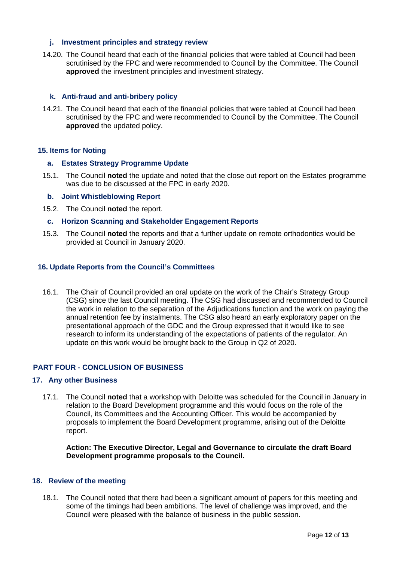### **j. Investment principles and strategy review**

14.20. The Council heard that each of the financial policies that were tabled at Council had been scrutinised by the FPC and were recommended to Council by the Committee. The Council **approved** the investment principles and investment strategy.

### **k. Anti-fraud and anti-bribery policy**

14.21. The Council heard that each of the financial policies that were tabled at Council had been scrutinised by the FPC and were recommended to Council by the Committee. The Council **approved** the updated policy.

#### **15. Items for Noting**

#### **a. Estates Strategy Programme Update**

15.1. The Council **noted** the update and noted that the close out report on the Estates programme was due to be discussed at the FPC in early 2020.

#### **b. Joint Whistleblowing Report**

- 15.2. The Council **noted** the report.
- **c. Horizon Scanning and Stakeholder Engagement Reports**
- 15.3. The Council **noted** the reports and that a further update on remote orthodontics would be provided at Council in January 2020.

### **16. Update Reports from the Council's Committees**

16.1. The Chair of Council provided an oral update on the work of the Chair's Strategy Group (CSG) since the last Council meeting. The CSG had discussed and recommended to Council the work in relation to the separation of the Adjudications function and the work on paying the annual retention fee by instalments. The CSG also heard an early exploratory paper on the presentational approach of the GDC and the Group expressed that it would like to see research to inform its understanding of the expectations of patients of the regulator. An update on this work would be brought back to the Group in Q2 of 2020.

#### **PART FOUR - CONCLUSION OF BUSINESS**

#### **17. Any other Business**

17.1. The Council **noted** that a workshop with Deloitte was scheduled for the Council in January in relation to the Board Development programme and this would focus on the role of the Council, its Committees and the Accounting Officer. This would be accompanied by proposals to implement the Board Development programme, arising out of the Deloitte report.

**Action: The Executive Director, Legal and Governance to circulate the draft Board Development programme proposals to the Council.** 

#### **18. Review of the meeting**

18.1. The Council noted that there had been a significant amount of papers for this meeting and some of the timings had been ambitions. The level of challenge was improved, and the Council were pleased with the balance of business in the public session.